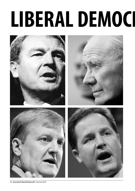## LIBERAL DEMOCI



34 **Journal of Liberal History 83** Summer 2014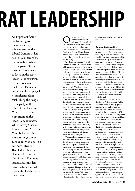# **RAT LEADERSHIP**

An important factor contributing to the survival and achievements of the Liberal Democrats has been the abilities of the individuals who have led the party. Given the media's tendency to focus on the party leader to the exclusion of their colleagues, the Liberal Democrat leader has always played a significant role in establishing the image of the party in the mind of the electorate. This in turn places a premium on the leader's effectiveness, which is why Charles Kennedy's and Menzies Campbell's perceived shortcomings caused such concern in 2005–06 and 2007. **Duncan Brack** describes the characteristics of the ideal Liberal Democrat leader, and considers how the four men who have so far led the party measure up.

**CO** VERALL, THE LIBERAL Democrats have been<br>well served by their lead<br>ers – particularly during election Democrats have been well served by their leadcampaigns, which is when most electors see and hear them; Paddy Ashdown, Charles Kennedy and Nick Clegg all performed creditably in the elections in which they led the party.

So what makes a good Liberal Democrat leader? All leaders inevitably possess a mixture of strengths and weaknesses; equally, all change and develop in response to the new challenges and stresses of their tenure in office. Nevertheless, it is possible to identify a series of characteristics and abilities which make an individual well or less well fitted to the job. The leader needs *communication skills*, being able to project the party, the party's position and his own competence as a party leader and potential Prime Minister. This ability is reinforced if the leader has something to say – a *distinctive position or image* for the party. A related characteristic is his ability to *develop a strategy* for the party: what does the leader want to do with his leadership, whether in opposition or in government? The leader also needs to *manage his own party*, including his parliamentary colleagues and the party in the country. Finally, the leader's *personal abilities* – including their energy, stamina and self-belief – underpin everything else.

This article considers how the four men who have so far occupied the Liberal Democrat leadership measure up against these characteristics and have proved effective in advancing the position and aims of the party. In addition to this qualitative assessment, a quantitative element can be added through examining the leaders' political records, in terms of votes won, MPs, MEPs and councillors elected, party membership and their own personal opinion poll ratings, demonstrating the leaders' electoral achievements and the extent to which they left the party in a better

or worse state than they found it; see Table 1.

#### **Communications skills**

The leader's communication skills cover a variety of characteristics, including media-friendliness and the ability to communicate well in different settings, such as conference speeches, press conferences, interviews and meetings with party members. Particularly in the early years of the party, when the leader was almost the only Liberal Democrat likely to receive any media attention, his ability to communicate the party's message was crucial to its survival. All the four party leaders have possessed some skills as a communicator – it would be difficult to be elected to Parliament and then to the party leadership without them – but their styles have varied widely.

It was clear even before his election to Parliament that Paddy Ashdown was a naturally gifted speaker; in 1981, after his first speech to the Liberal Assembly, opposing the deployment of US cruise missiles in the UK, he gained a standing ovation. He worked hard on his delivery and style, receiving assistance from, among others, Max Atkinson, author of the classic study of political speechmaking, *Our Masters' Voices*. 1 Although his conference speeches could occasionally suffer from being over-rehearsed, at his best he was a powerful and inspiring speaker, with a compelling voice and distinctive turn of phrase. He was probably even better at talks with small groups of party members or ordinary citizens, taking his jacket off and turning his chair round in an easy, familiar way. He dealt effectively with the media and although at times could tend to sound sanctimonious (something of an occupational hazard for politicians from third parties, used to criticising both government and opposition), he came over well to the public, and frequently featured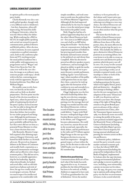in opinion polls as the most popular party leader.

Charles Kennedy was also a naturally gifted speaker, though with a very different style to Ashdown's – low-key, humorous, often selfdeprecating. He honed his skills at Glasgow University, where he won the *Observer* Mace for debating. While studying for a PhD in the US, he taught public speaking and carried out research in speech communication, political rhetoric and British politics. After election to the Commons, he soon acquired a reputation as a gifted communicator, both on the conference platform and TV, reaching not just the usual political audience but a wider public with appearances on programmes such as 'Wogan' and 'Have I Got News for You'. He came over well in the 2001 election, his image as an ordinary man, someone people could enjoy a drink with in the bar, contrasting positively with his opponents, the professional politicians Tony Blair and William Hague.

He steadily came to rely, however, too heavily on his native talent and too little on detailed preparation. The low point was the launch of the election manifesto in April 2005, where he proved incapable of explaining the details of the party's policy on local income tax. He was able to shrug this off as a result of the birth of his son three days before, but in reality he was under-prepared and hungover. Although his performance improved later in the campaign, the party probably suffered from the fact that voters did not see him as a potential Prime Minister in what was a closer election than 2001.

**The leader** 

**needs com-**

**munication** 

**skills, being** 

**able to pro-**

**ject the** 

**party, the** 

**party's posi-**

**tion and his** 

**own compe-**

**party leader** 

**and poten-**

**tial Prime** 

**Minister.**

**tence as a** 

Like Kennedy, Menzies Campbell acquired a fine debating reputation at Glasgow University, and honed his skills further as a Scottish advocate. He proved an eloquent debater in the House of Commons and steadily built a reputation as a respected commentator on foreign affairs and an effective critic of government policy. This did not serve, however, as a suitable apprenticeship for his leadership. Aged 64 when elected leader, he looked and acted older, with an old-fashioned turn of phrase and style of dress; his age was cruelly mocked in newspaper cartoons. He had too much respect for intellectual argument to be comfortable with

simple soundbites, and took some time to settle into the political theatre of Prime Minister's Questions. Although all this had improved substantially by the time he stepped down, it was the initial poor image that stuck in the public's mind.

Nick Clegg has had less of a political apprenticeship than any of the other Liberal Democrat leaders – five years as an MEP and just two and a half as an MP before being elected leader – but has been a decent communicator, lacking the inspirational qualities of Ashdown but proving much steadier than Kennedy and much more attuned to the political cut-and-thrust than Campbell. After his election he proved an effective speaker at party conferences, and increasingly displayed an ability to grab the media limelight. He also set out to promote the party outside parliament, holding regular 'town hall meetings', where members of the public could question him on any topic they chose, a practice he took up again after the formation of the coalition in 2010 and extended to a weekly radio phone-in on LBC.

Clegg's high point was the first television leadership debate during the 2010 election campaign, where he performed strongly in putting over the message that real change was needed and that only the Liberal Democrats, with no record of failure in government, could deliver. 'I agree with Nick' became a widespread slogan after Gordon Brown used it several times in the debate, and 'Cleggmania' became a phenomenon. He could not, however, sustain this record in the second and, especially, the third, debate, and his performance in the radio and TV debates against Nigel Farage in the run-up to the European election in 2014 was much less impressive – though he gained respect, at least within the party, for his decision to take on the UKIP leader over the question of EU membership.

#### **Distinctive positioning**

Communications skills are of limited value if the leader has nothing particular to say. A constant problem for the Liberal Democrats has been to be noticed; as Paddy Ashdown is supposed to have said, 'I'd sell my grandmother for a bit of definition'. Given the media's

tendency to focus primarily on the Labour and Conservative parties, and journalists' preference for reducing everything to a two-way choice, the Liberal Democrats suffer from an indistinct image; voters are often unclear what the party stands for.

The more that the leader can establish a Liberal Democrat position that is both memorable and different from those of the other parties, then, the more effective he will be in projecting the party as a whole. This includes the ability to spot a distinctive Liberal Democrat position in an existing debate, but even better is to be able to create an entirely new and distinctive policy position which the party can call its own. Or, it may revolve around a more general positioning of the party, associating it with a set of attitudes or general trends, or relationships to either or both of the other two main parties.

Ashdown himself succeeded in finding positions for his party which were highly liberal, principled and distinctive – though his first attempt at finding a definition for the new merged party, the adoption of the name 'Democrats' in 1988, was disastrous and was reversed a year later. His championing of the right of Hong Kong citizens to be given British passports in advance of the colony's incorporation into China, after the Tiananmen Square massacre in 1989, was distinctly more successful in raising the profile of the party. Later positions included support for the Maastricht Treaty of European Union in Parliament (including voting with John Major's government after it lost its majority following internal rebellions) and pressing for western action on Bosnia and Kosovo.

In domestic policy, Ashdown steered the party towards a more market-oriented economic policy than the Liberal-SDP Alliance had possessed (including the proposal for independence for the Bank of England, implemented by Labour after the 1997 election), a strong environmental platform and a pledge to invest in public services, including, most memorably, a penny on income tax for education. By 1993, the party was coming top in opinion polls asking which party was the best on environmental issues; it also scored relatively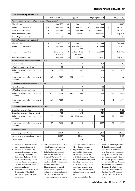| Table 1: Leadership performance                                                 |             |                         |                     |         |                                 |                       |                    |               |                   |              |      |                  |
|---------------------------------------------------------------------------------|-------------|-------------------------|---------------------|---------|---------------------------------|-----------------------|--------------------|---------------|-------------------|--------------|------|------------------|
|                                                                                 |             | Ashdown (1988-99)       | Kennedy (1999-2006) |         |                                 |                       | Campbell (2006-07) | Clegg (2007-) |                   |              |      |                  |
| Personal ratings (net score satisfied minus dissatisfied and date) <sup>a</sup> |             |                         |                     |         |                                 |                       |                    |               |                   |              |      |                  |
| When elected                                                                    | $-4$        |                         | Aug 1988            | $+11$   |                                 | Aug 1999              | $+5$               |               | Mar 2006          | $-3$         |      | Jan 2008         |
| Highest during leadership                                                       | $+58$       |                         | May 1997            | $+42$   |                                 | June 2001             | $+6$               |               | May 2006          | $+53$        |      | Oct 2010         |
| Lowest during leadership                                                        | $-24$       |                         | <b>July 1989</b>    | $+8$    |                                 | June 2004             | $-13$              |               | May 2007          | $-45$        |      | Oct 2012         |
| When stood down / latest                                                        | $+39$       |                         | <b>July 1999</b>    | $+20$   |                                 | Aug 2005 <sup>b</sup> | $-11$              |               | Sept 2007         | $-42$        |      | <b>July 2014</b> |
| Range (highest - lowest)                                                        | 82          |                         |                     | 34      |                                 |                       | 19                 |               |                   | 98           |      |                  |
| Party poll ratings (per cent and date) <sup>c</sup>                             |             |                         |                     |         |                                 |                       |                    |               |                   |              |      |                  |
| When elected                                                                    | 8           |                         | <b>July 1988</b>    | 17      |                                 | Aug 1999              | 19                 |               | Mar 2006          | 14           |      | Dec 2007         |
| Highest during leadership                                                       | 28          | <b>July 1993</b>        |                     | 26      | Dec 2004, May<br>2005           |                       | 25                 | Apr 2006      |                   | 32           |      | Apr 2010         |
| Lowest during leadership                                                        | 4           | June – Aug,<br>Nov 1989 |                     | 11      | Oct 99, July 00,<br>Jan, May 01 |                       | 11                 | Oct 2007      |                   | 7            |      | Feb 2013         |
| When stood down / latest                                                        | 17          |                         | Aug 1999            | 15      |                                 | Jan 2006              | 11                 |               | Oct 2007          | 8            |      | <b>July 2014</b> |
| Westminster election performance: MPs and vote                                  |             |                         |                     |         |                                 |                       |                    |               |                   |              |      |                  |
| MPs when elected                                                                | 19          |                         | 46                  |         | 63 <sup>d</sup>                 |                       |                    | 63            |                   |              |      |                  |
| MPs when stood down / latest                                                    |             |                         | 46                  |         |                                 | 62                    |                    | 63            |                   |              |      | 56 <sup>e</sup>  |
| Highest party vote in election (per cent<br>and date)                           | 17.8        |                         | 1992                | 22.0    |                                 | 2005                  |                    | n/a           |                   | 23.0         |      | 2010             |
| Lowest party vote in election (per cent<br>and date)                            | 16.8        |                         | 1997                |         | 18.3                            | 2001                  |                    | n/a           |                   |              |      | n/a              |
| European election performance: MEPs and vote                                    |             |                         |                     |         |                                 |                       |                    |               |                   |              |      |                  |
| MEPs when elected                                                               |             | $\mathbf{0}$            | 10                  |         |                                 | 12                    |                    |               | $12 \overline{ }$ |              |      |                  |
| MEPs when stood down / latest                                                   | 10          |                         |                     | 12      |                                 |                       | 12                 |               |                   | $\mathbf{1}$ |      |                  |
| Highest party vote in election (per cent<br>and date)                           | 16.7        |                         | 1994                |         | 14.9<br>2004                    |                       | n/a                |               |                   |              | 13.7 | 2009             |
| Lowest party vote in election (per cent<br>and date)                            | 1989<br>6.4 |                         | n/a                 |         |                                 | n/a                   |                    |               |                   | 6.6          | 2014 |                  |
| Local election performance: councillors and vote <sup>f, g</sup>                |             |                         |                     |         |                                 |                       |                    |               |                   |              |      |                  |
| Councillors when elected                                                        | 3,640       |                         | 4,485               |         |                                 | 4,743                 |                    |               | 4,420             |              |      |                  |
| Councillors when stood down / latest                                            |             |                         | 4,485               | 4,743   |                                 |                       | 4,420              |               |                   | 2,257        |      |                  |
| Highest party vote in election (per cent<br>and date)                           |             | 27                      | 1994                |         | 27                              | 2003, 2004            |                    | 25            | 2006              |              | 25   | 2009             |
| Lowest party vote in election (per cent<br>and date)                            |             | 17                      | 1990                |         | 25                              | 2002                  |                    | 24            | 2007              |              | 11   | 2014             |
| Party membershiph,i                                                             |             |                         |                     |         |                                 |                       |                    |               |                   |              |      |                  |
| Membership when elected                                                         | 80,104      |                         |                     | 82,827  |                                 |                       | 72,064             |               |                   | 64,728       |      |                  |
| Membership when stood down / latest                                             | 82,827      |                         |                     | 72,064  |                                 |                       | 64,728             |               |                   | 43,451       |      |                  |
| Change (per cent)                                                               | $+3.4$      |                         |                     | $-13.0$ |                                 |                       | $-10.2$            |               |                   | $-32.9$      |      |                  |

a Ipsos-MORI series on 'satisfaction with party leaders'; ibid.

b Ipsos-MORI did not ask the question after August 2005 during Kennedy's leadership.

c Taken from the Ipsos-MORI series, available at: http://www. ipsos-mori.com/researchspecialisms/socialresearch/specareas/ politics/trends.aspx

d Willie Rennie was elected in the Dunfermline & West Fife byelection during the 2006 leadership election.

- e 57 MPs were elected in 2010, but Mike Hancock was suspended from the party in January 2014.
- f Colin Rallings and Michael Thrasher, Elections Centre, Plymouth University. For voting figures, years in which local elections coincided with general elections are excluded.
- g The total number of councillors has been falling since the mid 1990s, as unitary authorities have replaced district councils in some areas; from 1994 to 2013,

the total number of councillors fell by about 15 per cent.

h Stephen Tall, 'Lib Dem party membership: the occasional ups and mostly downs since 1988' (Lib Dem Voice, 3 August 2014); leadership election results (including numbers of ballot papers issued) at http://www. crosenstiel.webspace.virginmedia.com/ldelections/leaders.htm. 'Latest' figures are end 2013. i Membership of all the three

largest UK political parties has declined fairly continuously since the 1950s. From 1988 to 2011, Conservative membership fell by about 85 per cent, and Labour membership by about 30 per cent; set against this, the 46 per cent fall in Liberal Democrat membership from 1988 to 2013 does not look so bad. Source: House of Commons Library Standard Note, *Membership of UK political parties* (December 2012).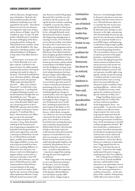well on education, though remaining in third place.<sup>2</sup> Both the election manifestos produced under Ashdown's leadership were well regarded by the media. 'The Liberal Democrat essay far out-distances its competitors with a fizz of ideas and an absence of fudge,' stated *The Guardian* in 1992.3 In 1997 *The Independent* called the party's manifesto the most challenging of the three, saying that politics without the Liberal Democrats would be 'intolerable'; Peter Riddell in *The Times* enjoyed its 'refreshing candour' and admired Ashdown's willingness to leap where Tony Blair feared to tread.4

In this respect, as in many others, Charles Kennedy was a complete contrast. Laid back to the point of inertia, he seldom pushed any particular position, leaving the running to be made by others in the party. The book he published in 2000, *The Future of Politics*, although designed to answer the question 'What makes this Kennedy fellow tick? … Why is he a Liberal Democrat?' revealed only, as his biographer put it, 'a startling lack of original thinking on policy or a strand of political thought that was identifiably his own'.6 The question was still going begging in June 2005, when Kennedy failed to give any convincing answer to Steve Webb MP's question after his delivery of a paper on the party's future prospects: 'I would just like to know: what motivates you? What gets you up in the morning?'7

The major exception to this, of course, is Iraq, where Kennedy ended up in the fortunate position of opposing an unpopular war backed by both the government and its main opposition, and with a united party behind him. In reality, no Liberal Democrat leader (apart, possibly, from Ashdown, who supported Blair's actions, but only in private) would have been likely to do anything different: in September 2002, the party conference voted overwhelmingly to support military action only as a last resort and under a clear UN mandate, and in February 2003 the party's Federal Executive called unanimously for Liberal Democrat participation in the major anti-war march in London. Held back by the concerns of the foreign affairs spokesman Menzies Campbell (who feared association with

anti-American and far left groups), Kennedy left it until the very last moment to decide to join in, taking the decision without consulting Campbell, or anyone else, following a *Guardian* lunch at which journalists criticised his prevarication. In fact, although Kennedy rarely showed much initiative, he generally displayed good judgement in reacting to events. Over the Romsey by-election in May 2000 (where he took on the Conservatives over their policy on immigration and on the right of self-defence, after Norfolk farmer Tony Martin had shot dead a burglar), gradual withdrawal from the Joint Consultative Committee set up by Ashdown with the Labour government, and his refusal to participate in the Butler Inquiry into the intelligence on Iraqi weapons of mass destruction, he instinctively adopted positions that kept the party happy while differentiating it in the eyes of the public.

Menzies Campbell's leadership was too brief to give him much of a chance to develop any distinctive positioning of his own. He inherited an agenda of policy reform, including significant changes in taxation policy and a new approach to the British nuclear deterrent, but fought for these changes in a way that Kennedy never would have, including in particular his intervention in the debate on Trident at the spring 2007 party conference, which clearly swung the vote. However, he was too innately cautious for the leader of the third party. On a number of occasions, he took his time reaching decisions, only to find that the ground had shifted under his feet, often because of leaks to the media, before he could announce them (his measured response to Gordon Brown's mischievous attempt to recruit Liberal Democrats into his cabinet in 2007 ended up looking like duplicity and weakness). His preference for consultation before he reached decisions – in itself an admirable trait – sometimes stopped him making the snap decision that might have served better.

Nick Clegg made early attempts to carve out distinctive positions for the party, over, for example, equal rights of residence for Gurkhas, or his call for the resignation of the Speaker, Michael Martin, over the failure to police MPs' expense claims. Clegg's image is,

**Communications skills are of limited value if the leader has nothing particular to say. A constant problem for the Liberal Democrats has been to be noticed; as Paddy Ashdown is supposed to have said, 'I'd sell my grandmother for a bit of definition'.**

however, overwhelmingly defined by the party's decision to enter into coalition with the Conservatives in 2010. This had led most observers to conclude that this was his strategy from beginning, and indeed, he did make early attempts to steer the party to the right, announcing after the leadership election his support for free schools and a widening of the use of private health care to meet NHS targets, and beginning to talk about using savings in public expenditure to cut taxes rather than see increased spending elsewhere. The 2010 manifesto, however, with its top four priorities of the pupil premium, constitutional reform, job creation through green growth and investment in infrastructure, and an increase in the income tax threshold, paid for by closing tax loopholes and green taxation, did not represent a notably right-wing agenda, and the reasons for joining a coalition with the Conservatives instead of Labour were so strong that it is inconceivable that any alternative leader would have done anything different – which is why only a handful of activists voted against the coalition at the party's special conference in May 2010.<sup>8</sup>

Clegg's handling of party positioning within the coalition has not been without its problems. At the beginning he chose – not unreasonably – to stress the virtues of coalition as an effective form of government, but went too far in giving the impression that the coalition was better than a Liberal Democrat government would have been. As the introduction to the full coalition programme claimed: 'We have found that a combination of our parties' best ideas and attitudes has produced a programme for government that is more radical and comprehensive than our individual manifestos',<sup>9</sup> and at the Liberal Democrat conference in September 2010, Clegg argued that the coalition was 'more than the sum of our parts'.10 In practice this simply undermined the party's image as anything more than Tory sidekicks.

The crushing electoral defeats in the 2011 local, Scottish and Welsh elections, and the failure of the alternative vote referendum, forced a reappraisal. As Clegg put it a week later, 'the current government is a coalition of necessity ... In the next phase of the coalition, both partners will be able to be clearer in their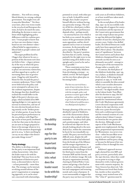identities ... You will see a strong liberal identity in a strong coalition government. You might even call it muscular liberalism.'11 Yet three years later, after even worse results in the 2014 local and European elections, he had to do much the same, defending the decision to enter coalition while highlighting policy differences with his coalition partners: 'I want people to know that we have our own distinct vision, based on our own distinct values – a liberal belief in opportunities; a liberal faith in people's talents and ambitions'.12

The major problem faced by Clegg is that whatever he says, a portion of the electorate now does not believe him – a legacy primarily of the way in which the party campaigned in 2010 on a promise to phase out university tuition fees, and then signed up to a policy of increasing them once in government. Clegg has only himself to blame for this: he (and the party's economic spokesman, Vince Cable) never believed in the policy and never attempted to advance it in the coalition negotiations, despite the damage that they should have realised this would inflict in the light of the party's election campaign, which included all its MPs signing pledges to vote against any increase in tuition fees, and one of his own election broadcasts focusing entirely on the 'broken promises' of other parties. It may be that his perceived poor performance in the 2014 debates with Nigel Farage can be at least partly attributed to the fact that some in the electorate are now no longer prepared to listen to his message whatever it is. As one of his ministers despairingly put it in 2014, 'is there anything he can say on any subject that doesn't just make things worse?"<sup>3</sup>

#### **Party strategy**

The ability to develop a strategy for the party is am important leadership characteristic: what does the leader want to do with his leadership? This may focus on the development of distinctive positions, as discussed above, but it is – at least potentially – more than that. The strategy can be internal, revolving around reforms of the party's organisation or campaigning approach; or it can be external, concerned with relationships,

**The ability to develop a strategy for the party is am important leadership characteristic: what does the leader want to do with his leadership?**

potential or actual, with other parties; or both. It should be noted, though, that a leader can prove himself effective without having any particular strategy. The reality of life for a third party in British politics is that its performance depends often – perhaps mostly – on external factors over which it has little or no control: the performance of the government and the main opposition, and key developments such as wars or economic recessions. As the journalist and party employee David Walter described it, 'the party's position has been that of a surfer, waiting patiently for the right wave to rise and then using all its skills to stay upright and to travel as far and as fast as possible'.<sup>14</sup>

These constraints never, however, prevented Paddy Ashdown from developing a strategy – or, indeed, several. He had mapped out his own three-phase plan on becoming leader:

The first was survival from a point of near extinction; the second was to build a political force with the strength, policy and positions to matter again in British politics; and the third was to get on to the field and play in what I believed would become a very fluid period of politics.<sup>15</sup>

Strategic planning of this sort was absolutely typical of Ashdown, one of the characteristics almost everyone who worked with him remembers – he always had a plan, and a position paper, and when he achieved one objective he was already looking ahead to the next. And in fact, within the constraints he faced, he was remarkably successful. His party survived its first difficult years, despite the selfinflicted wounds it had inherited from the break-up of the Alliance and the merger negotiations, its internal weaknesses of finance and membership, the challenges it faced for third-party status from the Owenite SDP and the Greens, and its lack of a distinct image. He took the party organisation seriously, chairing its Federal Policy Committee and giving a clear lead on key policies, working with councillors and campaigners and restoring morale and a sense of purpose. It is not unreasonable to suggest that the party may not have survived its

#### **liberal democratleadership**

early years at all without Ashdown, or at least would have taken much longer to recover.

In the second phase of his leadership, 1992–97, he successfully rode the rising tide of support for centreleft sentiment and the rejection of the Conservative government that not only swept Labour into power in 1997 but delivered the highest number of seats for a third party for seventy years. Under a less skilled leader, the Liberal Democrats could easily have been squeezed out by Blair's New Labour. The abandonment of 'equidistance' between the Conservatives and Labour that Ashdown championed from 1992 onwards can thus be seen as an – ultimately successful – attempt to become part of the movement for change rather a casualty of it.

In contrast, the third phase of the Ashdown leadership, 1997–99, was a failure, as Ashdown himself freely admits. Following up his proposal, in 1992, to 'work with others to assemble the ideas around which a non-socialist alternative to the Conservatives can be constructed',<sup>16</sup> he edged steadily closer to the Labour leader Tony Blair after his election in 1994; this led in turn to agreement on a joint agenda for constitutional reform (the Cook–Maclennan agreement), covert electoral cooperation with Labour in the 1997 election, secret talks over a joint electoral platform and a coalition government, and the eventual creation of a consultative Joint Cabinet Committee between the two parties after the election. Although several aspects of the Cook-Maclennan agenda were implemented, the big prize, proportional representation for Westminster, was never even close – either because Blair never meant it, and was simply stringing Ashdown and his party along, or because he did mean it but was unable to force it through his own party.

Ashdown's approach increasingly alarmed his own MPs and party activists, particularly after the 1997 election, when they could see no point in trying to align themselves with a Labour government with a massive majority. As Tony Greaves has observed, 'Liberal Democrats loved their leader but, insofar as they sensed his strategy, most wanted none of it. The "what if" question must be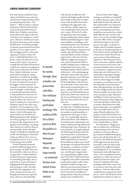how much more could have been achieved if all that time at the top and personal energy had been spent on something other than "The Project".'17 But was there a realistic alternative? Like the Liberal leaders Jo Grimond and David Steel before him, Ashdown was driven inexorably by the logic of the Liberal Democrats' position as a third party. However well the party performed in elections it never seemed feasible that it would leap straight to majority government from third position, or even replace one of the two bigger parties as the main opposition. Sooner or later the party would hold the balance of power, and in the political circumstances of the 1990s it was inconceivable that the Liberal Democrats could have reached an arrangement with anyone other than the Labour Party. Indeed, Ashdown was not particularly aiming for a hung parliament, in which, he thought, any attempt to bring in PR would be seen as weakness on the part of the bigger coalition partner; he wanted to introduce it from a position of strength, with both parties of the left genuinely behind it. His problem was that most of the Labour Party was never committed to PR at all, and saw no point in making any concessions to Ashdown's party once they commanded a 179-seat majority in the House of Commons (though he did achieve it for the European elections and the new Scottish and Welsh parliaments). But Ashdown was always going to try; he did not possess the temperament to sit quietly on the sidelines, snatching what chances he could to advance incrementally. And in the final analysis, if Ashdown had delivered on PR, the third phase of his leadership would have been seen as a triumphant success. It was a calculated strategy, but it failed.

Charles Kennedy possessed an entirely different approach to party strategy: he didn't have one. As noted above, this is not always a major defect. Unlike Ashdown, he inherited a party organisation in reasonably good shape, and, as noted above, he proved astute at judging political opportunities and reacting to events. He had a good election campaign in 2001, with a net gain of six seats even though most observers expected losses. However, his leadership

**It should be noted, though, that a leader can prove himself effective without having any particular strategy. The reality of life for a third party in British politics is that its performance depends often – perhaps mostly – on external factors over which it has** 

**little or no** 

**control.**

style became steadily less well suited to the higher profile role the party began to play after its opposition to the Iraq War boosted its standing in the approach to the 2005 election, widely expected to be considerably closer than the 2001 contest. His lack of a coherent agenda became increasingly obvious and his (previously largely hidden) alcoholism began to cause more problems, including a series of missed speeches and a disastrous opening to the 2005 election campaign. The feeling, in the party and outside, that the Liberal Democrats had failed to realise a historic opportunity in the 2005 election helped to trigger increasing concern, which manifested itself in a notably unhappy party conference in September 2005 and a widespread perception of drift and lack of direction – all contributing significantly to Kennedy's forced resignation in January 2006. His basic problem – that he had no agenda for his leadership, no obvious reason to be leader and no idea of the direction he wanted the party to go in – perhaps leads to the conclusion that even if Liberal Democrat leaders have little real control over the success of their party's strategy, they do at least need to be seen to have one. Menzies Campbell's immediate tasks were to stabilise the party, after the disruption of the previous six months, to professionalise its organisation and to give it direction. To a considerable extent he achieved all three. Like Ashdown, he took the party organisation seriously, chairing meetings effectively

and imposing a sense of purpose. In terms of policy, he largely adopted the reform agenda begun after the 2005 election but, as noted above, fought for it and pushed it through. After Gordon Brown's arrival as Prime Minister in June 2007 raised the prospect of a general election in the autumn, a manifesto was finalised after the September conference, and the party organisation was in good shape to fight an election in October. Unfortunately for Campbell, none of this counted for much in the outside world, where he failed to build an image as an effective and charismatic leader. It was not his strategy but his image that let him down; and Brown's postponement of the election from autumn 2007 sealed his fate.

To start with, Nick Clegg's strategy was similar to Campbell's: to stabilise the party after a forced leadership election. He achieved this and presided over a period of gradual recovery in the opinion polls, reassuring the party that it would have no need to face a third leadership election. As discussed above, it is not clear whether Clegg came into office with a clear plan and determination to move the party to the right, or whether it simply seemed a sensible response at the time to the disintegration of New Labour and the attempt by the Conservative leader David Cameron to attract Liberal Democrat supporters. After the party's decision to enter into coalition with the Conservatives in 2010, most commentators found it easier to present it as the former, conspiracy stories about takeovers of the party by a small right-wing clique making a better story. It is also plausible, however, that Clegg was simply reacting to circumstances, in a way that his predecessors had always done. Having said that, it is also the case that Clegg was the first Liberal Democrat leader not to have been active in politics under Thatcher's and Major's Conservative governments; his instincts always appeared to be more hostile to Labour and economic-liberal than were Ashdown's, Kennedy's or Campbell's. This was reinforced by the economic-liberal tendencies of the majority of the Liberal Democrat Shadow Cabinet, in contrast to the wider parliamentary party and the party membership as a whole.

As noted above, Clegg's strategy in coalition has veered from concentrating on the virtues of coalition as a form of effective government to differentiating his party more clearly from the Conservatives. Yet while the first phase of this approach may have been successful, with one study of the coalition's first eighteen months concluding that it 'set a model for harmonious and unified government',18 the second phase has been much less so, with a succession of awful local election results, and the party's opinion poll rating stuck generally below 10 per cent. It was always clear that entry into coalition – with any other party – would alienate a proportion of the party's voters, but the party always hoped that it would win others to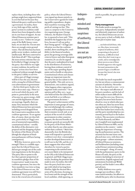replace them, including those who perhaps might have supported them in 2010 but had not because they believed the party could never form a government. In reality, there is very little sign of this, and the party's actions in coalition could almost have been designed to alienate its core bases of support. As one Liberal Democrat minister put it as early as 2011: 'Unless we can get some of the fluffy bunny voters back, we are done for. I'm not sure there are enough centre ground voters. The Lib Dem base has been public sector workers, students and intellectuals. We have contrived to fuck them all off.'19 This is perhaps the most serious criticism that can be levelled at Clegg's strategy for the party: that while he was right to enter coalition, his and his colleagues' actions since have been conducted without enough thought to the party's ability to survive.

A key part of Clegg's strategy will be to face the 2015 election with a strong list of Liberal Democrat achievements in government – the first third-party leader to be able to do so since 1945. There is a real record which the party will point to, particularly in the areas of income tax, green energy, child care and the legalisation of samesex marriage. Equally, there are many Tory measures which the Liberal Democrats have prevented, including several dropped from the Conservative manifesto in the coalition agreement. To set against this, of course, there are clear failures, particularly in Clegg's own area of ministerial responsibility, constitutional reform – notably the defeat of the alternative vote proposal and the dropping of plans for reform of the House of Lords (though the adoption of fixedterm parliaments will have lasting consequences).

Will this, however, prove to be enough? There is a credible argument that the Liberal Democrats did not get enough out of the coalition negotiations in the first place. The party likes to point to the fact that a greater proportion of its manifesto pledges than of the Conservatives' made it into the coalition agreement, but since the Tory manifesto was twice as long as the Liberal Democrat one, the coalition agreement was still Torydominated. This is particularly true in the crucial area of economic policy, where the Liberal Democrats signed up almost entirely to the Conservative agenda for reducing public expenditure, despite their manifesto warning of the perils of cutting too fast. This came as a surprise to the Conservative negotiating team; George Osborne, the Shadow Chancellor, is reported to have said: 'This should be the happiest day of our lives, because it's all our policy that's being agreed'.20 (Clegg's justification was that the coalition needed, above anything else, credibility in the financial markets, given the growing sovereign debt crisis in Greece and other European countries.) It can also be argued that the party underplayed its hand in the distribution of ministries, leaving them without control of any of the major spending departments such as health or education. Constitutional reform and climate change are important issues for the party but are less salient to the general public. This only serves to demonstrate, one academic argued, 'what happens when vegetarians negotiate with carnivores'.21 In an opinion poll in May 2011, 74 per cent believed that the Liberal Democrats had little or no influence

The party's achievements will be important to some groups of voters, but overwhelmingly the coalition partners will be judged in terms of their economic record; and, as an analysis of the record of coalition governments in other countries suggests, the electoral benefits of economic growth are normally felt by the party of the Prime Minister rather than by any other parties within their coalition.<sup>23</sup> More fundamentally, how the British electorate will respond to a period of coalition is not clear: commonplace in other developed democracies, it is still rare in the UK, and the evidence suggests that what would elsewhere be viewed as parties cooperating in the national interest is more likely to be interpreted in the UK as the Liberal Democrats in general, and Nick Clegg in particular, breaking the promises they made in 2010. In reality, this will force the party back into a strategy with which it has long been familiar: fight the election like a series of by-elections, focusing on local issues and the strength of the local candidate, while ignoring, as

over government decisions.<sup>22</sup>

**Independentlyminded and inherently suspicious of authority, the Liberal Democrats are not an easy party to lead.**

much as possible, the grim national picture.

#### **Party management**

The leader needs to manage his own party. Independently-minded and inherently suspicious of authority, the Liberal Democrats are not an easy party to lead; as Paddy Ashdown put it in June 1999:

… our beloved Lib Dems, who are, bless them, inveterately sceptical of authority, often exasperating to the point of dementia, as difficult to lead where they don't want to go as a mule, and as curmudgeonly about success as one of those football supporters who regards his team's promotion to the premier league as insufficient because they haven't also won the FA cup!24

The leader has much responsibility, but not always a commensurate amount of authority. Nevertheless, he can do much to earn – or to lose – the respect and affection of his party members, and the lack of either makes it more difficult for him to get his own way. However, the party has never been factionalised in a way in which other parties often are; there has never been a group hostile to everything any of the four leaders have tried to do, and the party membership has consistently proved loyal to the leaders it elects. The successive overthrows of Charles Kennedy and Menzies Campbell were implemented by Liberal Democrat MPs, not by members in the country – underlining the importance of managing the parliamentary parties. The situation has become more complicated since 2010, with three different groups – cabinet ministers, all Liberal Democrat ministers, and backbenchers (including some sacked former ministers) needing to be managed – along, of course, with the parliamentary party in the House of Lords, the party in the country (including its structure of committees, English regional and autonomous Scottish and Welsh parties), and the leader's own office and advisers.

Paddy Ashdown was a party manager par excellence. After some initial mistakes, his efforts to rebuild the party after its disastrous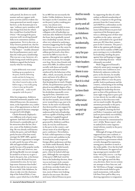early period, his down-to-earth manner and easy rapport with party activists and his evident charisma generated not merely respect but love; as the *Economist* put it in 1991, 'ordinary party members will take things from him for which they would have lynched David Owen'.25 He managed the party structure well, involving himself fully in its committees and key organisations. Yet it is also true, as Tony Greaves pointed out, that his strategy of doing deals with Labour – 'The Project' – steadily alienated first his parliamentary party and then the wider party membership. This was not a case, however, of a leader losing touch with his party; Ashdown argued that he knew exactly what he was doing:

I quite deliberately went round building up my popularity in the party, both by delivering results and also by being very consensual, conscious of the fact that when I started to play on the field in stage 3, I was really going to have to [use up this political capital and] … make myself unpopular with the party.<sup>26</sup>

After his resignation, Ashdown remained immensely popular with Liberal Democrats; the announcement, at the September 2013 conference, of his appointment as chair of the 2015 general election campaign was greeted with delight.

Charles Kennedy displayed a very different style of party management: laid-back and relaxed, this formed a considerable part of his attraction after the last, divisive, years of the Ashdown leadership. He was already well-known within the party, and well-liked, partly because of his lone stand, amongst the SDP's MPs, against David Owen's opposition to merger in 1987, partly because of his amiable and approachable nature, partly because of his popular media profile. In the end, however, simply being likeable was not enough; he needed to at least try to give a lead to the party, but, as his former speech-writer Richard Grayson commented in 2005, he was 'perhaps more chairman than leader'. Even in that role he was not notably successful. Like Ashdown, he chose to take over the chairmanship of the Federal Policy Committee, a post which has to be filled

by an MP, but not necessarily the leader. Unlike Ashdown, however, his impact on the Committee, and on the party's policy-making processes, was almost zero.

He failed most starkly in managing his MPs. Initially his more collegiate style of leadership was welcome after Ashdown's lead from the front, but it gradually turned into a leadership vacuum. He was often very talented at analysing a situation (suggesting that he might have been a success at the career he almost followed, journalism) but seldom put forward a clear direction for his MPs to react for or against, although he was capable of it on some occasions, for example over Iraq. Never close friends with most of his MPs, he seldom mixed socially with them and steadily grew more and more isolated – reinforced by the behaviour of his office, which, necessarily, devoted more and more of its efforts to keeping him out of sight rather than keeping him in touch. Despite all this, his parliamentary party displayed an incredible degree of loyalty, those of them that knew about his alcoholism repeatedly covering up for him, sometimes over a period of years. Right up until the last few months, most of them never wanted him to go, just to be better. In the end it was Kennedy that destroyed his own support by failing to show any signs that he understood his lack of leadership and was capable of dealing with it.

Menzies Campbell inspired respect rather than the affection generated by Ashdown and Kennedy; he was less well-known in the party in the country, and always more of an aloof figure at party conference. Nevertheless, he had a solid reputation as a longterm activist and candidate in the Scottish party, and a respected foreign affairs spokesman and deputy leader under Kennedy. But as with Kennedy, he failed mainly in managing his parliamentary party, where he lacked solid support. Although the vast majority of the party's MPs had voted for him in the leadership election, there was no real inner circle committed to the Campbell leadership; as an obvious caretaker leader never likely to do more than one election, most of them were looking ahead to his successor. He alienated many Liberal Democrat peers

**And he needs to love his party and all it stands for; as Ashdown put it, 'It is, incidentally, not necessary for parties to love their leaders – to respect them is usually enough. But it is vital for leaders to love their parties – otherwise why would we put up with it?'**

by supporting the idea of a referendum on British membership of the EU, a response to the growing pressure from the Conservatives and UKIP for a referendum on the potential European constitution; many Liberal Democrat peers had experienced the European question as a defining issue of their time in politics in the 1960s, 1970s and 1980s, and tended to be a good deal more pro-EU than their counterparts in the Commons. The party's slide in the opinion polls throughout 2007 led to number of MPs and peers starting to try to destabilise his leadership, briefing the press against him and hoping to trigger a new leadership election – which ultimately succeeded.

Nick Clegg proved himself a relatively astute party manager up until entry into coalition in 2010. Relatively unknown within the party on his election, he steadily came to command respect for his energetic efforts to raise the party profile, both in parliament and the country, culminating in his sterling performance in the 2010 election. Although his leadership election gave no hint of his preference for a more right-wing slant to party policy (see above), he was able to edge the party in that direction without too much trouble. He paid less attention personally to the party organisation than did Ashdown and Campbell, chairing the Federal Policy Committee only briefly (and not particularly successfully), though the major review of the party structure he commissioned in 2007–08 (the 'Bones report', after its author) led to some organisational reforms, mainly in the party headquarters.<sup>27</sup>

Although all wings of the party supported entry into coalition, it was Clegg's handling of the tuition fees question in government which severely damaged his reputation, among party members as much as the wider public. Over the first half of the Parliament, his approval rating amongst party members fell from  $+68$  in July 2010 to  $-2$  in September 2012.28 It is notable, however, that right up until the May 2014 elections, there was no systematic attempt to force him out; and the 'Lib Dems 4 Change' campaign started afterwards failed to gain much momentum, with another Lib Dem Voice poll in May 2014 showing opposition to resignation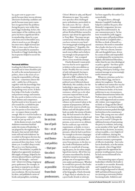by 54 per cent to 39 per cent – partly because there was no obvious alternative leadership candidate and partly because many party members recognised that the problems facing the party were wider than just Clegg's leadership. In fact, the main impact of the coalition on the party has been a significant fall in its membership, down by 35 per cent from 2010 to December 2012, when it stood at 42,501 (though it has since seen a slight increase (see Table 1); since most of those leaving can reasonably be assumed to be hostile to Clegg's leadership, this has in practice helped to secure his position.

#### **Personal abilities**

Leading the Liberal Democrats is a stressful and at times thankless job. As well as the normal pressures of politics, there is the strain of carrying the responsibility of being the main – sometimes almost the only – public face of the party, together with the knowledge that the media is watching every step and probing every secret. It therefore helps if the leader is healthy and possesses energy and stamina. He also needs to believe in his own basic abilities and competence. And he needs to love his party and all it stands for; as Ashdown put it, 'It is, incidentally, not necessary for parties to love their leaders – to respect them is usually enough. But it is vital for leaders to love their parties – otherwise why would we put up with it?'29

As his diaries reveal, even Paddy Ashdown sometimes buckled under the strains of leadership. 'I am plagued by the nightmare that the party that started with Gladstone will end with Ashdown' he recorded on European election day in 1989, and after the results were announced three days later, 'to bed about 3.00. I couldn't sleep a wink. We are in a very black position indeed.'30 Nevertheless, in public he displayed an apparently inexhaustible supply of energy, helped by his obvious physical fitness, and hyperactivity. He thought – and worried – about everything, ringing up party spokesmen, for example, to get them to respond to an obscure proposal in a local party's conference resolution. He was fascinated by ideas, and published a series of books and pamphlets, including

**It seems to be an iron law of politics – or at least of Liberal Democrat politics – that parties elect leaders as different as possible from their predecessors.**

*Citizen's Britain* in 1989, and *Beyond Westminster* in 1994;<sup>31</sup> his conference speeches often challenged party orthodoxies, particularly in the early years. He was – almost always – tremendously self-confident, sometimes too much so; as his adviser Richard Holme warned in January 1997 about his approaches to Tony Blair: 'You must not get carried away with the film script you have written in your head – two strong people standing up and shaping history.'32 Arguably, this self-confidence led him to put too much trust in Blair and to believe too strongly in the prospects for 'The Project' – but, as argued above, it was worth the attempt.

Charles Kennedy's main problem was that he never appeared to believe in his own abilities as leader. Possibly this was a result of only infrequently having to fight for his goals; after he was selected as SDP candidate for Ross, Cromarty & Skye in 1983, his political career followed almost effortlessly. His candidacy for the leadership in 1999 can be seen as simply following the line of least resistance, which was to do what everyone expected him to and put his name forward. This background, coupled with an overreliance on his natural talent at the expense of preparation, left him with too few reserves of self-confidence and self-discipline to fall back on under the strains of leadership. He had seemed to be able to overcome his shyness at school and university by donning a different persona, as an actor or as a debater, but he could not cope with the requirement, as leader, to wear a public persona all the time. Under pressure, when he had to perform – for example in election campaigns – he could often recover much of his native ability and talent, but away from pressure, in the day-today work of Parliament and the month-to-month job of managing the party, he too often simply lapsed into inertia. All of this was of course exacerbated by alcohol, which he turned to increasingly, perhaps out of recognition of his own under-performance. Whether he would have proved a fine leader if it wasn't for his problems with alcohol (as expressed in the title of his biography, *Charles Kennedy: A Tragic Flaw*) or whether he was a poor leader drunk or sober (as

has been argued by this author<sup>33</sup>) is unresolvable.

As argued above, although Menzies Campbell's leadership helped to stabilise the party after Kennedy's resignation, his own image then undermined it. As one commentator put it, 'he has been wounded by polls suggesting that voters still preferred Kennedy drunk to Campbell sober ... He likes to think of himself as a statesman. He needs to remember that a leader also has to be a salesman.'34 He was a decent, honourable and thoughtful man, driven by a sense of duty and responsibility underpinned by an instinctive, slightly old-fashioned liberalism, rather than by any clear ideological or policy agenda – but these qualities proved to be not enough for leading a third party lacking a clear national message in an increasingly media-intensive age.

Whatever criticisms can be levelled at Nick Clegg, one has to admire his toughness. The abuse he suffered over tuition fees was far worse than that faced by any Liberal Democrat leader, or by most politicians in any circumstances. Student demonstrations before the Parliamentary vote in December 2010, well-supported and occasionally violent, were targeted particularly at Clegg and the Liberal Democrats; he was burnt in effigy and had excrement pushed through his letterbox in his constituency home. (His young sons once asked him: 'Papa, why do the students hate you so much?'35) Despite the additional strains of representing the party in coalition, and acting as one member of the 'quad' which takes the key decisions, he retains, at least in public, a very high level of self-confidence, sharing this characteristic with Ashdown. This is almost certainty a prerequisite of effective leadership – but it also has its drawbacks, as in the tuition fees episode, when Clegg failed to appreciate the opposition his position would generate, because he had convinced himself of its rightness.

One interesting aspect of party leadership is whether the leader is an insider or an outsider. Kennedy and Campbell were the former, with a long background in Liberal, SDP and Liberal Democrat politics (starting at university) before becoming leader. Ashdown and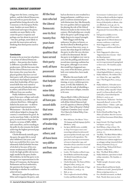Clegg were the latter, coming into politics, and the Liberal Democrats, late and with no particular background before being elected to the Commons or the European Parliament. Insiders are more likely to understand and respect the party; outsiders are more likely to discount the party's response and perhaps care less about its survival – but also, perhaps, more likely to provide the innovation and new thinking that third parties need to prosper.

#### **Conclusion**

It seems to be an iron law of politics – or at least of Liberal Democrat politics – that parties elect leaders as different as possible from their predecessors. All the four men who led the Liberal Democrats over its first twenty-five years have displayed qualities that have served their party well; all have possessed weaknesses that helped to undermine their leadership; all have possessed skills that were suited to some periods of leadership and not to others; and all have been very different from one another.

Paddy Ashdown rescued his party from near-collapse and established it firmly as an effective and coherent third force. Although he failed in his main aim – to deliver proportional representation for Westminster – the deals he reached with Labour helped to change the country's constitution for good. As can be seen from Table 1, he left the party in much better shape than he found it, in terms of MPs, MEPs and councillors, and its standing in the polls; he also remains the leader achieving the highest personal popularity rating.

Charles Kennedy initially gave the party the quiet life it craved after Ashdown's last years, and had a successful first few years, but ultimately failed (whether because of alcohol or because of his own innate weaknesses) to fulfil effectively the high-profile role increasingly needed in the party leader. Nevertheless, he led the party to its strongest ever representation in the House of Commons, the European Parliament and local authorities; the question that hangs over his leadership is whether he could have achieved more.

Menzies Campbell helped to stabilise and reorganise the party, and, **men who led the Liberal Democrats over its first twenty-five years have displayed qualities that have served their party well; all have possessed weaknesses that helped to undermine their leadership; all have possessed skills that were suited to some periods of leadership and not to others; and all have been very different from one another.**

**All the four** 

had an election in 2007 resulted in a hung parliament, could have occupied a coalition ministerial post with distinction; but, like Kennedy, his own qualities did not equip him for playing the role of the Liberal Democrat leader in the twenty-first century. His leadership saw a steady fall in the party's poll ratings and a slight drop in its council strength. Nick Clegg is still the big

unknown: his place in history, as the first Liberal in British government for more than sixty years, is secure, but what shape he will leave the party in after the 2015 election is still to be determined. He led the party to its highest ever vote in 2010, but the polling and electoral record since entering coalition has been grim; although to an extent this would have happened anyway, some of his decisions, particularly over tuition fees, have made it worse.

Whether the next leader will take over a secure position in a continuing, or new, coalition government, or will, like Ashdown, be faced with the task of rebuilding a party from near-collapse, remains to be seen.

*Duncan Brack is Editor of the* Journal of Liberal History*. He has worked with all four Liberal Democrat leaders in his capacities as Director of Policy (1988–94), Chair of the party's Federal Conference Committee (2003–10) and Vice Chair of its Federal Policy Committee (2012–).*

- 1 Max Atkinson, *Our Masters' Voices: The language and body language of politics* (Methuen, 1984).
	- See Ipsos-MORI series, available at: http://www.ipsos-mori.com/ researchspecialisms/socialresearch/ specareas/politics/trends.aspx; analysis based on all respondents. The party first came top on environmental issues in September 1993, and thereafter always came first or second as long as the question, or a related one, was asked.
- 3 Leader, *The Guardian* 19 March 1992.
- 4 David Butler and Denis Kavanagh, *The British General Election of 1997* (Macmillan, 1997), p. 178.
- 5 Charles Kennedy, *The Future of Politics* (HarperCollins, 2000), p. xii.
- 6 Greg Hurst, *Charles Kennedy: A Tragic Flaw* (Politico's, 2006), p. 119.
- 7 Ibid., p. 225.
- 8 This is explored in detail in Philip Cowley and Martin Ryder, 'Into

Government: Coalition (2010–2011)'. In Duncan Brack and Robert Ingham (eds.), *Peace, Reform and Liberation: A history of Liberal politics in Britain, 1679– 2011* (Biteback, 2011), pp. 362–65.

- 9 HM Government, *The Coalition: Our Programme for Government* (May 2010), p. 8.
- 10 Full speech available at www. libdemvoice.org/full-text-nickcleggs-speech-to-liberal-democratautumn-conference-21236.html
- 11 Nick Clegg speech, 11 May 2011, 'One year in: coalition and Liberal politics'.
- Nick Clegg speech, 9 June 2014, 'Opportunity for everyone – that's the liberal promise'.
- 13 Rafael Behr, 'The Lib Dems could survive in government by going back to their roots', *The Guardian* 30 July 2014.
- 14 David Walter, *The Strange Rebirth of Liberal England* (Politico's, 2003), p. 3.
- 15 Paddy Ashdown, *The Ashdown Diaries: Volume Two, 1997–1999* (Allen Lane / The Penguin Press, 2001), p. 494.
- 16 Paddy Ashdown, 'A broader movement dedicated to winning the battle of ideas', 9 May 1992 (the 'Chard speech'), in Duncan Brack and Tony Little (eds.), *Great Liberal Speeches* (Politico's, 2001), p. 427.
- 17 Tony Greaves, 'Audacious but fundamentally flawed', review of *The Ashdown Diaries – Volume 1: 1988–1997*, *Journal of Liberal History* 30 (spring 2001), p. 28.
- 18 Robert Hazell and Ben Yong, *The Politics of Coalition: How the Conservative-Lib Dem Government Works* (Hart, 2012).
- 19 Jasper Gerard, *The Clegg Coup* (Gibson Square, 2011), p. 234.
- 20 Rob Wilson, *5 Days to Power: The Journey to Coalition Britain* (Biteback, 2010), p. 171.
- 21 Tim Bale, 'The Black Widow Effect: Why Britain's Conservative–Liberal Democrat coalition might have an unhappy ending', *Journal of Liberal History* 76 (autumn 2012), p. 9
- 22 Coralie Pring, 'Disloyal Lib Dems', YouGov, 16 May 2011.
- Bale, 'The Black Widow Effect'.
- 24 Paddy Ashdown, open letter to leadership contenders, *The Guardian*, 11 June 1999.
- 25 'Paddy's people', *Economist* 14 September 1991.
- 26 Duncan Brack and Harriet Smith, 'Ashdown as Leader', *Journal of Liberal History* 30 (spring 2001), p. 13.
- 27 For a detailed assessment, see Mark Pack, 'Nearly three years on, how